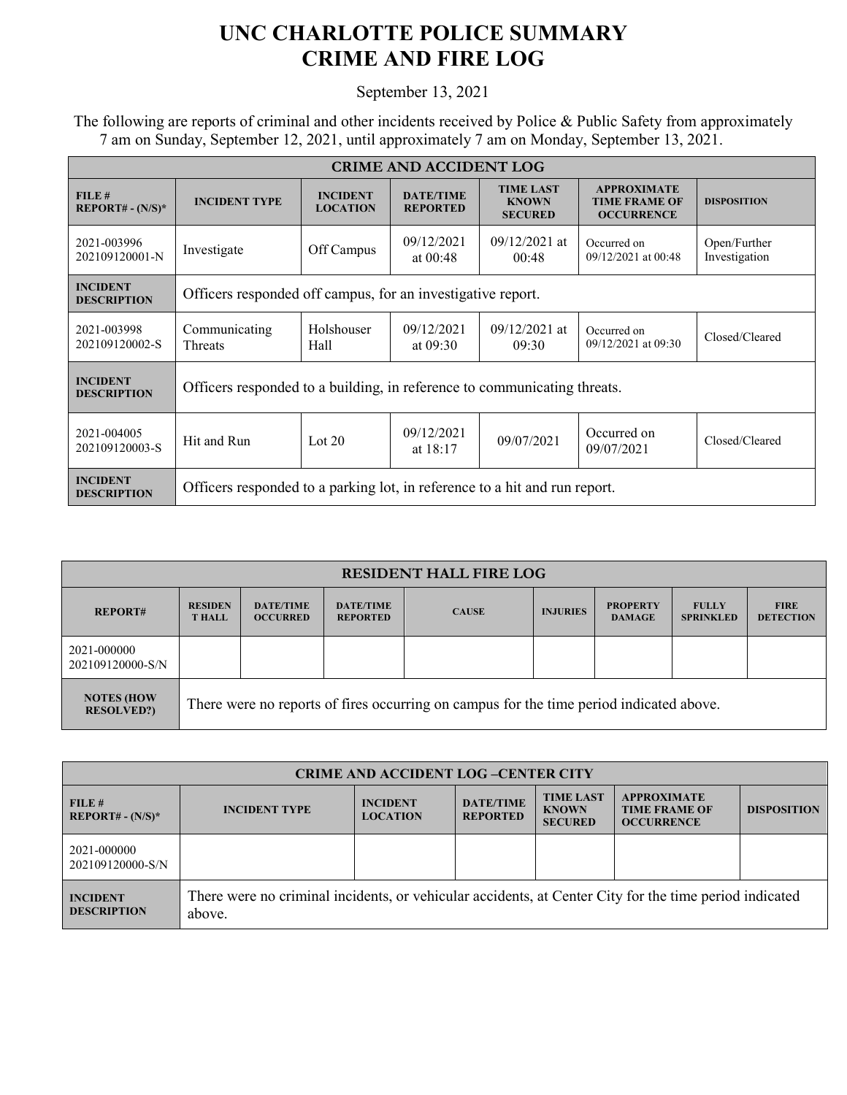## **UNC CHARLOTTE POLICE SUMMARY CRIME AND FIRE LOG**

September 13, 2021

 The following are reports of criminal and other incidents received by Police & Public Safety from approximately 7 am on Sunday, September 12, 2021, until approximately 7 am on Monday, September 13, 2021.

| <b>CRIME AND ACCIDENT LOG</b>         |                                                                            |                                    |                                     |                                                    |                                                                 |                               |  |  |
|---------------------------------------|----------------------------------------------------------------------------|------------------------------------|-------------------------------------|----------------------------------------------------|-----------------------------------------------------------------|-------------------------------|--|--|
| FILE#<br>$REPORT# - (N/S)*$           | <b>INCIDENT TYPE</b>                                                       | <b>INCIDENT</b><br><b>LOCATION</b> | <b>DATE/TIME</b><br><b>REPORTED</b> | <b>TIME LAST</b><br><b>KNOWN</b><br><b>SECURED</b> | <b>APPROXIMATE</b><br><b>TIME FRAME OF</b><br><b>OCCURRENCE</b> | <b>DISPOSITION</b>            |  |  |
| 2021-003996<br>202109120001-N         | Investigate                                                                | Off Campus                         | 09/12/2021<br>at $00:48$            | $09/12/2021$ at<br>00:48                           | Occurred on<br>$09/12/2021$ at 00:48                            | Open/Further<br>Investigation |  |  |
| <b>INCIDENT</b><br><b>DESCRIPTION</b> | Officers responded off campus, for an investigative report.                |                                    |                                     |                                                    |                                                                 |                               |  |  |
| 2021-003998<br>202109120002-S         | Communicating<br><b>Threats</b>                                            | Holshouser<br>Hall                 | 09/12/2021<br>at $09:30$            | $09/12/2021$ at<br>09:30                           | Occurred on<br>09/12/2021 at 09:30                              | Closed/Cleared                |  |  |
| <b>INCIDENT</b><br><b>DESCRIPTION</b> | Officers responded to a building, in reference to communicating threats.   |                                    |                                     |                                                    |                                                                 |                               |  |  |
| 2021-004005<br>202109120003-S         | Hit and Run                                                                | Lot $20$                           | 09/12/2021<br>at $18:17$            | 09/07/2021                                         | Occurred on<br>09/07/2021                                       | Closed/Cleared                |  |  |
| <b>INCIDENT</b><br><b>DESCRIPTION</b> | Officers responded to a parking lot, in reference to a hit and run report. |                                    |                                     |                                                    |                                                                 |                               |  |  |

| <b>RESIDENT HALL FIRE LOG</b>         |                                                                                         |                                     |                                     |              |                 |                                  |                                  |                                 |
|---------------------------------------|-----------------------------------------------------------------------------------------|-------------------------------------|-------------------------------------|--------------|-----------------|----------------------------------|----------------------------------|---------------------------------|
| <b>REPORT#</b>                        | <b>RESIDEN</b><br><b>T HALL</b>                                                         | <b>DATE/TIME</b><br><b>OCCURRED</b> | <b>DATE/TIME</b><br><b>REPORTED</b> | <b>CAUSE</b> | <b>INJURIES</b> | <b>PROPERTY</b><br><b>DAMAGE</b> | <b>FULLY</b><br><b>SPRINKLED</b> | <b>FIRE</b><br><b>DETECTION</b> |
| 2021-000000<br>202109120000-S/N       |                                                                                         |                                     |                                     |              |                 |                                  |                                  |                                 |
| <b>NOTES (HOW</b><br><b>RESOLVED?</b> | There were no reports of fires occurring on campus for the time period indicated above. |                                     |                                     |              |                 |                                  |                                  |                                 |

| <b>CRIME AND ACCIDENT LOG-CENTER CITY</b> |                                                                                                                  |                                    |                                     |                                                    |                                                                 |                    |  |
|-------------------------------------------|------------------------------------------------------------------------------------------------------------------|------------------------------------|-------------------------------------|----------------------------------------------------|-----------------------------------------------------------------|--------------------|--|
| FILE#<br>$REPORT# - (N/S)*$               | <b>INCIDENT TYPE</b>                                                                                             | <b>INCIDENT</b><br><b>LOCATION</b> | <b>DATE/TIME</b><br><b>REPORTED</b> | <b>TIME LAST</b><br><b>KNOWN</b><br><b>SECURED</b> | <b>APPROXIMATE</b><br><b>TIME FRAME OF</b><br><b>OCCURRENCE</b> | <b>DISPOSITION</b> |  |
| 2021-000000<br>202109120000-S/N           |                                                                                                                  |                                    |                                     |                                                    |                                                                 |                    |  |
| <b>INCIDENT</b><br><b>DESCRIPTION</b>     | There were no criminal incidents, or vehicular accidents, at Center City for the time period indicated<br>above. |                                    |                                     |                                                    |                                                                 |                    |  |